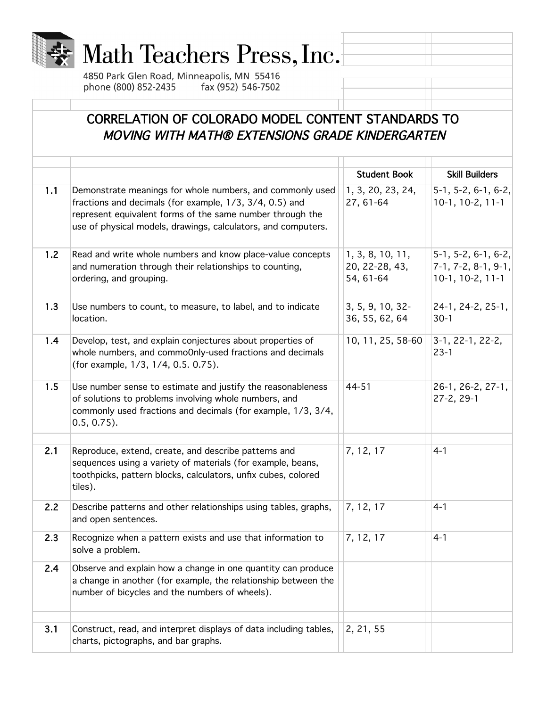

## Math Teachers Press, Inc.

4850 Park Glen Road, Minneapolis, MN 55416 phone (800) 852-2435 fax (952) 546-7502

## CORRELATION OF COLORADO MODEL CONTENT STANDARDS TO MOVING WITH MATH® EXTENSIONS GRADE KINDERGARTEN

|     |                                                                                                                                                                                                                                                    | <b>Student Book</b>                             | <b>Skill Builders</b>                                                |
|-----|----------------------------------------------------------------------------------------------------------------------------------------------------------------------------------------------------------------------------------------------------|-------------------------------------------------|----------------------------------------------------------------------|
| 1.1 | Demonstrate meanings for whole numbers, and commonly used<br>fractions and decimals (for example, 1/3, 3/4, 0.5) and<br>represent equivalent forms of the same number through the<br>use of physical models, drawings, calculators, and computers. | 1, 3, 20, 23, 24,<br>27, 61-64                  | $5-1, 5-2, 6-1, 6-2,$<br>$10-1, 10-2, 11-1$                          |
| 1.2 | Read and write whole numbers and know place-value concepts<br>and numeration through their relationships to counting,<br>ordering, and grouping.                                                                                                   | 1, 3, 8, 10, 11,<br>20, 22-28, 43,<br>54, 61-64 | $5-1, 5-2, 6-1, 6-2,$<br>$7-1, 7-2, 8-1, 9-1,$<br>$10-1, 10-2, 11-1$ |
| 1.3 | Use numbers to count, to measure, to label, and to indicate<br>location.                                                                                                                                                                           | 3, 5, 9, 10, 32-<br>36, 55, 62, 64              | 24-1, 24-2, 25-1,<br>$30-1$                                          |
| 1.4 | Develop, test, and explain conjectures about properties of<br>whole numbers, and commoOnly-used fractions and decimals<br>(for example, 1/3, 1/4, 0.5. 0.75).                                                                                      | 10, 11, 25, 58-60                               | 3-1, 22-1, 22-2,<br>$23-1$                                           |
| 1.5 | Use number sense to estimate and justify the reasonableness<br>of solutions to problems involving whole numbers, and<br>commonly used fractions and decimals (for example, 1/3, 3/4,<br>$0.5, 0.75$ ).                                             | 44-51                                           | 26-1, 26-2, 27-1,<br>$27-2, 29-1$                                    |
| 2.1 | Reproduce, extend, create, and describe patterns and<br>sequences using a variety of materials (for example, beans,<br>toothpicks, pattern blocks, calculators, unfix cubes, colored<br>tiles).                                                    | 7, 12, 17                                       | $4 - 1$                                                              |
| 2.2 | Describe patterns and other relationships using tables, graphs,<br>and open sentences.                                                                                                                                                             | 7, 12, 17                                       | $4 - 1$                                                              |
| 2.3 | Recognize when a pattern exists and use that information to<br>solve a problem.                                                                                                                                                                    | 7, 12, 17                                       | $4 - 1$                                                              |
| 2.4 | Observe and explain how a change in one quantity can produce<br>a change in another (for example, the relationship between the<br>number of bicycles and the numbers of wheels).                                                                   |                                                 |                                                                      |
| 3.1 | Construct, read, and interpret displays of data including tables,<br>charts, pictographs, and bar graphs.                                                                                                                                          | 2, 21, 55                                       |                                                                      |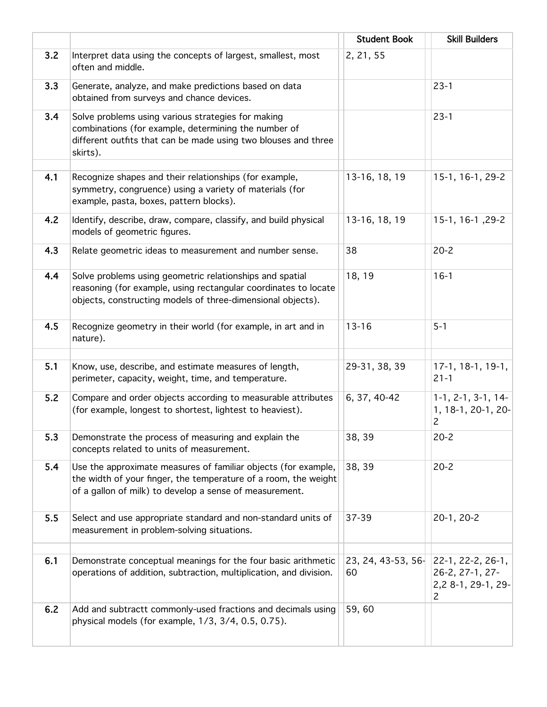|     |                                                                                                                                                                                              | <b>Student Book</b>      | <b>Skill Builders</b>                                           |
|-----|----------------------------------------------------------------------------------------------------------------------------------------------------------------------------------------------|--------------------------|-----------------------------------------------------------------|
| 3.2 | Interpret data using the concepts of largest, smallest, most<br>often and middle.                                                                                                            | 2, 21, 55                |                                                                 |
| 3.3 | Generate, analyze, and make predictions based on data<br>obtained from surveys and chance devices.                                                                                           |                          | $23 - 1$                                                        |
| 3.4 | Solve problems using various strategies for making<br>combinations (for example, determining the number of<br>different outfits that can be made using two blouses and three<br>skirts).     |                          | $23 - 1$                                                        |
| 4.1 | Recognize shapes and their relationships (for example,<br>symmetry, congruence) using a variety of materials (for<br>example, pasta, boxes, pattern blocks).                                 | 13-16, 18, 19            | 15-1, 16-1, 29-2                                                |
| 4.2 | Identify, describe, draw, compare, classify, and build physical<br>models of geometric figures.                                                                                              | 13-16, 18, 19            | 15-1, 16-1, 29-2                                                |
| 4.3 | Relate geometric ideas to measurement and number sense.                                                                                                                                      | 38                       | $20 - 2$                                                        |
| 4.4 | Solve problems using geometric relationships and spatial<br>reasoning (for example, using rectangular coordinates to locate<br>objects, constructing models of three-dimensional objects).   | 18, 19                   | $16 - 1$                                                        |
| 4.5 | Recognize geometry in their world (for example, in art and in<br>nature).                                                                                                                    | $13 - 16$                | $5 - 1$                                                         |
| 5.1 | Know, use, describe, and estimate measures of length,<br>perimeter, capacity, weight, time, and temperature.                                                                                 | 29-31, 38, 39            | $17-1, 18-1, 19-1,$<br>$21 - 1$                                 |
| 5.2 | Compare and order objects according to measurable attributes<br>(for example, longest to shortest, lightest to heaviest).                                                                    | 6, 37, 40-42             | $1-1, 2-1, 3-1, 14-$<br>1, 18-1, 20-1, 20-<br>$\overline{c}$    |
| 5.3 | Demonstrate the process of measuring and explain the<br>concepts related to units of measurement.                                                                                            | 38, 39                   | $20 - 2$                                                        |
| 5.4 | Use the approximate measures of familiar objects (for example,<br>the width of your finger, the temperature of a room, the weight<br>of a gallon of milk) to develop a sense of measurement. | 38, 39                   | $20 - 2$                                                        |
| 5.5 | Select and use appropriate standard and non-standard units of<br>measurement in problem-solving situations.                                                                                  | 37-39                    | 20-1, 20-2                                                      |
| 6.1 | Demonstrate conceptual meanings for the four basic arithmetic<br>operations of addition, subtraction, multiplication, and division.                                                          | 23, 24, 43-53, 56-<br>60 | 22-1, 22-2, 26-1,<br>26-2, 27-1, 27-<br>2,2 8-1, 29-1, 29-<br>2 |
| 6.2 | Add and subtractt commonly-used fractions and decimals using<br>physical models (for example, 1/3, 3/4, 0.5, 0.75).                                                                          | 59,60                    |                                                                 |